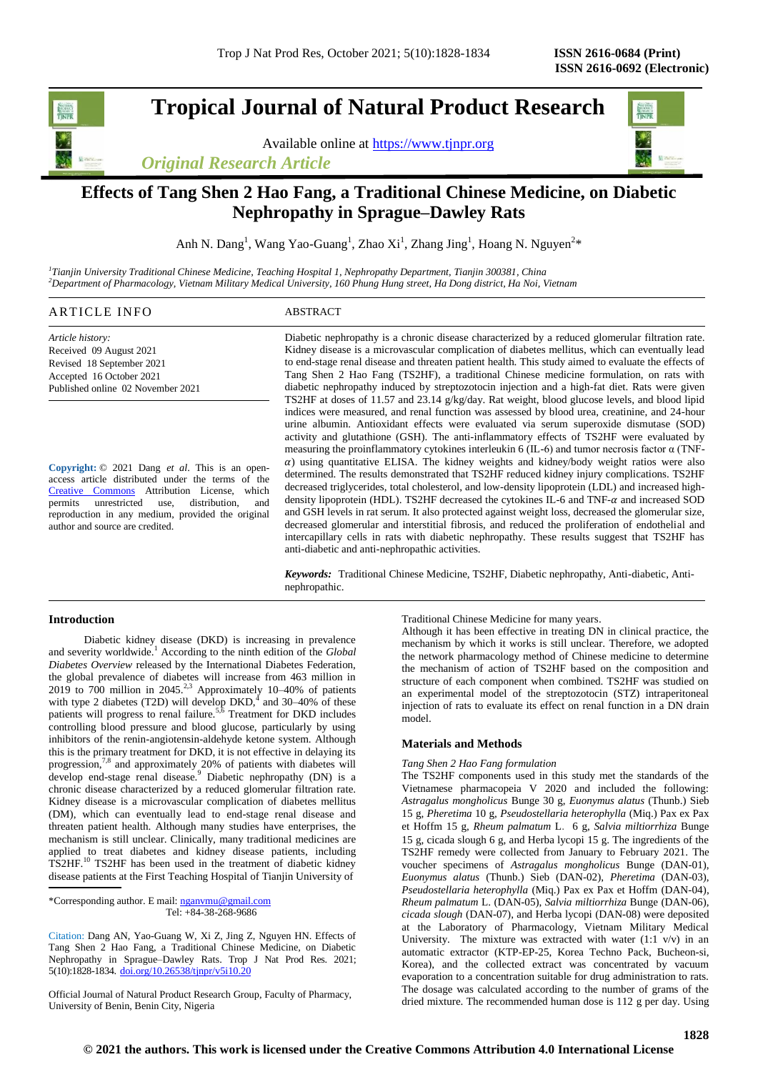# **Tropical Journal of Natural Product Research**

Available online at [https://www.tjnpr.org](https://www.tjnpr.org/)

*Original Research Article*



## **Effects of Tang Shen 2 Hao Fang, a Traditional Chinese Medicine, on Diabetic Nephropathy in Sprague–Dawley Rats**

Anh N. Dang<sup>1</sup>, Wang Yao-Guang<sup>1</sup>, Zhao Xi<sup>1</sup>, Zhang Jing<sup>1</sup>, Hoang N. Nguyen<sup>2\*</sup>

*1 Tianjin University Traditional Chinese Medicine, Teaching Hospital 1, Nephropathy Department, Tianjin 300381, China <sup>2</sup>Department of Pharmacology, Vietnam Military Medical University, 160 Phung Hung street, Ha Dong district, Ha Noi, Vietnam*

| ARTICLE INFO<br>the contract of the contract of the contract of the contract of the contract of the contract of the contract of | $\sim$ CTD $\sim$<br>$\sim$<br>TRACT<br>the contract of the contract of the contract of the contract of the contract of the contract of the contract of |
|---------------------------------------------------------------------------------------------------------------------------------|---------------------------------------------------------------------------------------------------------------------------------------------------------|
|                                                                                                                                 |                                                                                                                                                         |

*Article history:* Received 09 August 2021 Revised 18 September 2021 Accepted 16 October 2021 Published online 02 November 2021

**Copyright:** © 2021 Dang *et al*. This is an openaccess article distributed under the terms of the [Creative Commons](https://creativecommons.org/licenses/by/4.0/) Attribution License, which permits unrestricted use, distribution, and reproduction in any medium, provided the original author and source are credited.

Diabetic nephropathy is a chronic disease characterized by a reduced glomerular filtration rate. Kidney disease is a microvascular complication of diabetes mellitus, which can eventually lead to end-stage renal disease and threaten patient health. This study aimed to evaluate the effects of Tang Shen 2 Hao Fang (TS2HF), a traditional Chinese medicine formulation, on rats with diabetic nephropathy induced by streptozotocin injection and a high-fat diet. Rats were given TS2HF at doses of 11.57 and 23.14 g/kg/day. Rat weight, blood glucose levels, and blood lipid indices were measured, and renal function was assessed by blood urea, creatinine, and 24-hour urine albumin. Antioxidant effects were evaluated via serum superoxide dismutase (SOD) activity and glutathione (GSH). The anti-inflammatory effects of TS2HF were evaluated by measuring the proinflammatory cytokines interleukin 6 (IL-6) and tumor necrosis factor  $\alpha$  (TNF- $\alpha$ ) using quantitative ELISA. The kidney weights and kidney/body weight ratios were also determined. The results demonstrated that TS2HF reduced kidney injury complications. TS2HF decreased triglycerides, total cholesterol, and low-density lipoprotein (LDL) and increased highdensity lipoprotein (HDL). TS2HF decreased the cytokines IL-6 and TNF- $\alpha$  and increased SOD and GSH levels in rat serum. It also protected against weight loss, decreased the glomerular size, decreased glomerular and interstitial fibrosis, and reduced the proliferation of endothelial and intercapillary cells in rats with diabetic nephropathy. These results suggest that TS2HF has anti-diabetic and anti-nephropathic activities.

*Keywords:* Traditional Chinese Medicine, TS2HF, Diabetic nephropathy, Anti-diabetic, Antinephropathic.

## **Introduction**

 Diabetic kidney disease (DKD) is increasing in prevalence and severity worldwide.<sup>1</sup> According to the ninth edition of the *Global Diabetes Overview* released by the International Diabetes Federation, the global prevalence of diabetes will increase from 463 million in 2019 to 700 million in 2045.<sup>2,3</sup> Approximately 10-40% of patients with type 2 diabetes (T2D) will develop  $DKD<sub>1</sub><sup>4</sup>$  and 30–40% of these patients will progress to renal failure.<sup>5,6</sup> Treatment for DKD includes controlling blood pressure and blood glucose, particularly by using inhibitors of the renin-angiotensin-aldehyde ketone system. Although this is the primary treatment for DKD, it is not effective in delaying its progression,<sup>7,8</sup> and approximately 20% of patients with diabetes will develop end-stage renal disease.<sup>9</sup> Diabetic nephropathy (DN) is a chronic disease characterized by a reduced glomerular filtration rate. Kidney disease is a microvascular complication of diabetes mellitus (DM), which can eventually lead to end-stage renal disease and threaten patient health. Although many studies have enterprises, the mechanism is still unclear. Clinically, many traditional medicines are applied to treat diabetes and kidney disease patients, including TS2HF.<sup>10</sup> TS2HF has been used in the treatment of diabetic kidney disease patients at the First Teaching Hospital of Tianjin University of

\*Corresponding author. E mail[: nganvmu@gmail.com](mailto:nganvmu@gmail.com) Tel: +84-38-268-9686

Citation: Dang AN, Yao-Guang W, Xi Z, Jing Z, Nguyen HN. Effects of Tang Shen 2 Hao Fang, a Traditional Chinese Medicine, on Diabetic Nephropathy in Sprague–Dawley Rats. Trop J Nat Prod Res. 2021; 5(10):1828-1834. [doi.org/10.26538/tjnpr/v5i10.2](http://www.doi.org/10.26538/tjnpr/v1i4.5)0

Official Journal of Natural Product Research Group, Faculty of Pharmacy, University of Benin, Benin City, Nigeria

Traditional Chinese Medicine for many years.

Although it has been effective in treating DN in clinical practice, the mechanism by which it works is still unclear. Therefore, we adopted the network pharmacology method of Chinese medicine to determine the mechanism of action of TS2HF based on the composition and structure of each component when combined. TS2HF was studied on an experimental model of the streptozotocin (STZ) intraperitoneal injection of rats to evaluate its effect on renal function in a DN drain model.

## **Materials and Methods**

## *Tang Shen 2 Hao Fang formulation*

The TS2HF components used in this study met the standards of the Vietnamese pharmacopeia V 2020 and included the following: *Astragalus mongholicus* Bunge 30 g, *Euonymus alatus* (Thunb.) Sieb 15 g, *Pheretima* 10 g, *Pseudostellaria heterophylla* (Miq.) Pax ex Pax et Hoffm 15 g, *Rheum palmatum* L.6 g, *Salvia miltiorrhiza* Bunge 15 g, cicada slough 6 g, and Herba lycopi 15 g. The ingredients of the TS2HF remedy were collected from January to February 2021. The voucher specimens of *Astragalus mongholicus* Bunge (DAN-01), *Euonymus alatus* (Thunb.) Sieb (DAN-02), *Pheretima* (DAN-03), *Pseudostellaria heterophylla* (Miq.) Pax ex Pax et Hoffm (DAN-04), *Rheum palmatum* L. (DAN-05), *Salvia miltiorrhiza* Bunge (DAN-06), *cicada slough* (DAN-07), and Herba lycopi (DAN-08) were deposited at the Laboratory of Pharmacology, Vietnam Military Medical University. The mixture was extracted with water  $(1:1 \text{ v/v})$  in an automatic extractor (KTP-EP-25, Korea Techno Pack, Bucheon-si, Korea), and the collected extract was concentrated by vacuum evaporation to a concentration suitable for drug administration to rats. The dosage was calculated according to the number of grams of the dried mixture. The recommended human dose is 112 g per day. Using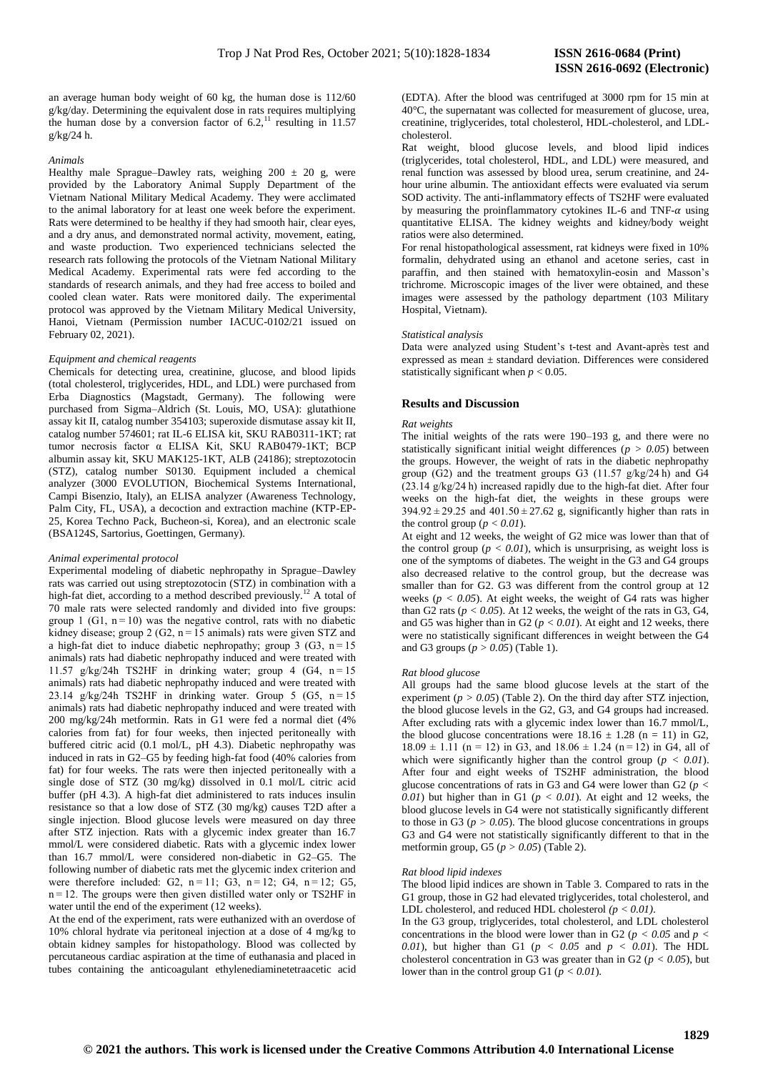an average human body weight of 60 kg, the human dose is 112/60 g/kg/day. Determining the equivalent dose in rats requires multiplying the human dose by a conversion factor of  $6.2$ ,<sup>11</sup> resulting in 11.57 g/kg/24 h.

#### *Animals*

Healthy male Sprague–Dawley rats, weighing  $200 \pm 20$  g, were provided by the Laboratory Animal Supply Department of the Vietnam National Military Medical Academy. They were acclimated to the animal laboratory for at least one week before the experiment. Rats were determined to be healthy if they had smooth hair, clear eyes, and a dry anus, and demonstrated normal activity, movement, eating, and waste production. Two experienced technicians selected the research rats following the protocols of the Vietnam National Military Medical Academy. Experimental rats were fed according to the standards of research animals, and they had free access to boiled and cooled clean water. Rats were monitored daily. The experimental protocol was approved by the Vietnam Military Medical University, Hanoi, Vietnam (Permission number IACUC-0102/21 issued on February 02, 2021).

#### *Equipment and chemical reagents*

Chemicals for detecting urea, creatinine, glucose, and blood lipids (total cholesterol, triglycerides, HDL, and LDL) were purchased from Erba Diagnostics (Magstadt, Germany). The following were purchased from Sigma–Aldrich (St. Louis, MO, USA): glutathione assay kit II, catalog number 354103; superoxide dismutase assay kit II, catalog number 574601; rat IL-6 ELISA kit, SKU RAB0311-1KT; rat tumor necrosis factor α ELISA Kit, SKU RAB0479-1KT; BCP albumin assay kit, SKU MAK125-1KT, ALB (24186); streptozotocin (STZ), catalog number S0130. Equipment included a chemical analyzer (3000 EVOLUTION, Biochemical Systems International, Campi Bisenzio, Italy), an ELISA analyzer (Awareness Technology, Palm City, FL, USA), a decoction and extraction machine (KTP-EP-25, Korea Techno Pack, Bucheon-si, Korea), and an electronic scale (BSA124S, Sartorius, Goettingen, Germany).

#### *Animal experimental protocol*

Experimental modeling of diabetic nephropathy in Sprague–Dawley rats was carried out using streptozotocin (STZ) in combination with a high-fat diet, according to a method described previously.<sup>12</sup> A total of 70 male rats were selected randomly and divided into five groups: group 1 (G1,  $n = 10$ ) was the negative control, rats with no diabetic kidney disease; group 2 (G2,  $n = 15$  animals) rats were given STZ and a high-fat diet to induce diabetic nephropathy; group 3 (G3,  $n = 15$ ) animals) rats had diabetic nephropathy induced and were treated with 11.57 g/kg/24h TS2HF in drinking water; group 4 (G4,  $n = 15$ ) animals) rats had diabetic nephropathy induced and were treated with 23.14 g/kg/24h TS2HF in drinking water. Group 5 (G5, n = 15 animals) rats had diabetic nephropathy induced and were treated with 200 mg/kg/24h metformin. Rats in G1 were fed a normal diet (4% calories from fat) for four weeks, then injected peritoneally with buffered citric acid (0.1 mol/L, pH 4.3). Diabetic nephropathy was induced in rats in G2–G5 by feeding high-fat food (40% calories from fat) for four weeks. The rats were then injected peritoneally with a single dose of STZ (30 mg/kg) dissolved in 0.1 mol/L citric acid buffer (pH 4.3). A high-fat diet administered to rats induces insulin resistance so that a low dose of STZ (30 mg/kg) causes T2D after a single injection. Blood glucose levels were measured on day three after STZ injection. Rats with a glycemic index greater than 16.7 mmol/L were considered diabetic. Rats with a glycemic index lower than 16.7 mmol/L were considered non-diabetic in G2–G5. The following number of diabetic rats met the glycemic index criterion and were therefore included: G2, n = 11; G3, n = 12; G4, n = 12; G5, n = 12. The groups were then given distilled water only or TS2HF in water until the end of the experiment (12 weeks).

At the end of the experiment, rats were euthanized with an overdose of 10% chloral hydrate via peritoneal injection at a dose of 4 mg/kg to obtain kidney samples for histopathology. Blood was collected by percutaneous cardiac aspiration at the time of euthanasia and placed in tubes containing the anticoagulant ethylenediaminetetraacetic acid (EDTA). After the blood was centrifuged at 3000 rpm for 15 min at 40°C, the supernatant was collected for measurement of glucose, urea, creatinine, triglycerides, total cholesterol, HDL-cholesterol, and LDLcholesterol.

Rat weight, blood glucose levels, and blood lipid indices (triglycerides, total cholesterol, HDL, and LDL) were measured, and renal function was assessed by blood urea, serum creatinine, and 24 hour urine albumin. The antioxidant effects were evaluated via serum SOD activity. The anti-inflammatory effects of TS2HF were evaluated by measuring the proinflammatory cytokines IL-6 and TNF- $\alpha$  using quantitative ELISA. The kidney weights and kidney/body weight ratios were also determined.

For renal histopathological assessment, rat kidneys were fixed in 10% formalin, dehydrated using an ethanol and acetone series, cast in paraffin, and then stained with hematoxylin-eosin and Masson's trichrome. Microscopic images of the liver were obtained, and these images were assessed by the pathology department (103 Military Hospital, Vietnam).

#### *Statistical analysis*

Data were analyzed using Student's t-test and Avant-après test and expressed as mean ± standard deviation. Differences were considered statistically significant when  $p < 0.05$ .

## **Results and Discussion**

#### *Rat weights*

The initial weights of the rats were 190–193 g, and there were no statistically significant initial weight differences ( $p > 0.05$ ) between the groups. However, the weight of rats in the diabetic nephropathy group (G2) and the treatment groups G3 (11.57  $g/kg/24 h$ ) and G4  $(23.14 \text{ g/kg}/24 \text{ h})$  increased rapidly due to the high-fat diet. After four weeks on the high-fat diet, the weights in these groups were  $394.92 \pm 29.25$  and  $401.50 \pm 27.62$  g, significantly higher than rats in the control group  $(p < 0.01)$ .

At eight and 12 weeks, the weight of G2 mice was lower than that of the control group ( $p < 0.01$ ), which is unsurprising, as weight loss is one of the symptoms of diabetes. The weight in the G3 and G4 groups also decreased relative to the control group, but the decrease was smaller than for G2. G3 was different from the control group at 12 weeks ( $p < 0.05$ ). At eight weeks, the weight of G4 rats was higher than G<sub>2</sub> rats ( $p < 0.05$ ). At 12 weeks, the weight of the rats in G<sub>3</sub>, G<sub>4</sub>, and G5 was higher than in G2 ( $p < 0.01$ ). At eight and 12 weeks, there were no statistically significant differences in weight between the G4 and G3 groups (*p > 0.05*) (Table 1).

#### *Rat blood glucose*

All groups had the same blood glucose levels at the start of the experiment ( $p > 0.05$ ) (Table 2). On the third day after STZ injection, the blood glucose levels in the G2, G3, and G4 groups had increased. After excluding rats with a glycemic index lower than 16.7 mmol/L, the blood glucose concentrations were  $18.16 \pm 1.28$  (n = 11) in G2,  $18.09 \pm 1.11$  (n = 12) in G3, and  $18.06 \pm 1.24$  (n = 12) in G4, all of which were significantly higher than the control group ( $p < 0.01$ ). After four and eight weeks of TS2HF administration, the blood glucose concentrations of rats in G3 and G4 were lower than G2 (*p <*   $(0.01)$  but higher than in G1 ( $p < 0.01$ ). At eight and 12 weeks, the blood glucose levels in G4 were not statistically significantly different to those in G3 ( $p > 0.05$ ). The blood glucose concentrations in groups G3 and G4 were not statistically significantly different to that in the metformin group, G5 (*p > 0.05*) (Table 2).

#### *Rat blood lipid indexes*

The blood lipid indices are shown in Table 3. Compared to rats in the G1 group, those in G2 had elevated triglycerides, total cholesterol, and LDL cholesterol, and reduced HDL cholesterol *(p < 0.01)*.

In the G3 group, triglycerides, total cholesterol, and LDL cholesterol concentrations in the blood were lower than in G2 ( $p < 0.05$  and  $p <$ *0.01*), but higher than G1 ( $p < 0.05$  and  $p < 0.01$ ). The HDL cholesterol concentration in G3 was greater than in G2 ( $p < 0.05$ ), but lower than in the control group G1 (*p < 0.01*).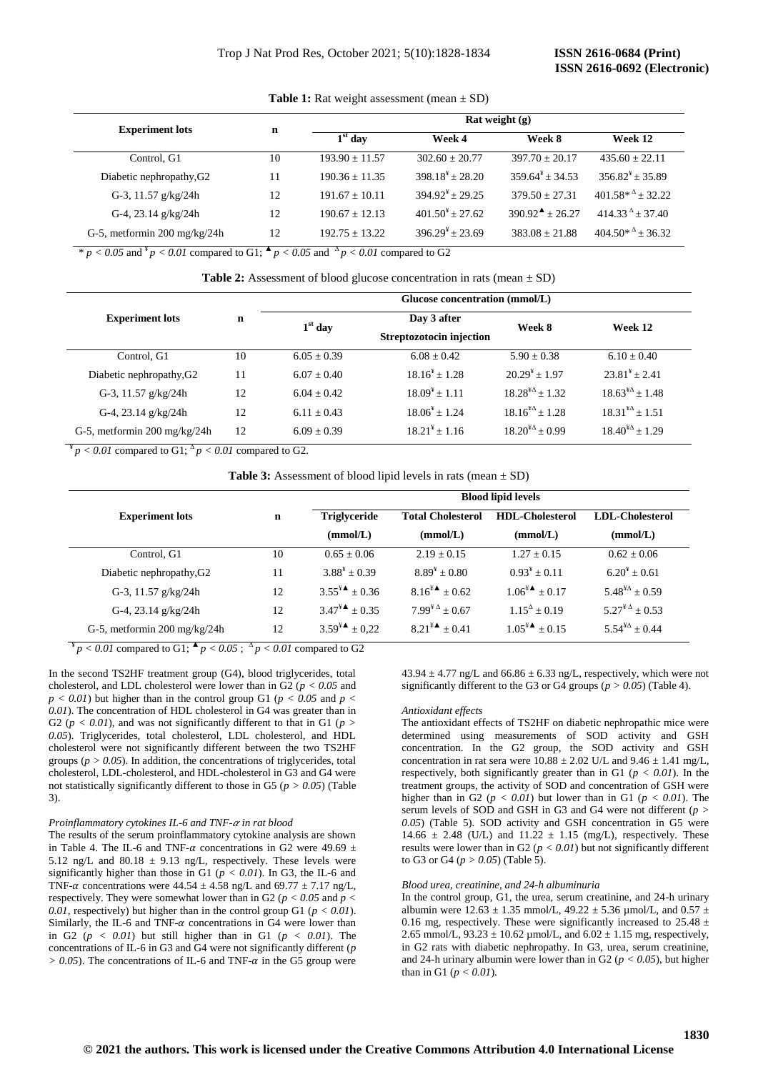| <b>Experiment lots</b>       |    | Rat weight $(g)$ |                                  |                               |                                  |
|------------------------------|----|------------------|----------------------------------|-------------------------------|----------------------------------|
|                              | n  | $1st$ day        | Week 4                           | Week 8                        | Week 12                          |
| Control, G1                  | 10 | $193.90 + 11.57$ | $302.60 + 20.77$                 | $397.70 + 20.17$              | $435.60 + 22.11$                 |
| Diabetic nephropathy, G2     | 11 | $190.36 + 11.35$ | $398.18^4 + 28.20$               | $359.64^{4} + 34.53$          | $356.82^{\frac{1}{2}} \pm 35.89$ |
| G-3, 11.57 $g/kg/24h$        | 12 | $191.67 + 10.11$ | $394.92^{\frac{1}{2}} \pm 29.25$ | $379.50 + 27.31$              | $401.58*^4 + 32.22$              |
| G-4, 23.14 $g/kg/24h$        | 12 | $190.67 + 12.13$ | $401.50^{\frac{V}{2}} \pm 27.62$ | $390.92^{\text{A}} \pm 26.27$ | $414.33^{\Delta} \pm 37.40$      |
| G-5, metformin 200 mg/kg/24h | 12 | $192.75 + 13.22$ | $396.29^{\frac{1}{2}} \pm 23.69$ | $383.08 \pm 21.88$            | $404.50*^{\Delta} \pm 36.32$     |

**Table 1:** Rat weight assessment (mean  $\pm$  SD)

 $p < 0.05$  and  $p < 0.01$  compared to G1;  $\blacktriangle p < 0.05$  and  $\triangle p < 0.01$  compared to G2

|                                      |             | Glucose concentration (mmol/L) |                              |                          |                              |  |  |
|--------------------------------------|-------------|--------------------------------|------------------------------|--------------------------|------------------------------|--|--|
| <b>Experiment lots</b>               | $\mathbf n$ | $1st$ day                      | Day 3 after                  | Week 8                   | Week 12                      |  |  |
|                                      |             |                                | Streptozotocin injection     |                          |                              |  |  |
| Control, G1                          | 10          | $6.05 + 0.39$                  | $6.08 + 0.42$                | $5.90 + 0.38$            | $6.10 + 0.40$                |  |  |
| Diabetic nephropathy, G <sub>2</sub> | 11          | $6.07 + 0.40$                  | $18.16^{\frac{1}{4}} + 1.28$ | $20.29^{4} + 1.97$       | $23.81^{\frac{1}{2}} + 2.41$ |  |  |
| G-3, 11.57 g/kg/24h                  | 12          | $6.04 + 0.42$                  | $18.09^{\frac{1}{2}} + 1.11$ | $18.28^{4\Delta}+1.32$   | $18.63^{\frac{1}{4}} + 1.48$ |  |  |
| G-4, 23.14 $g/kg/24h$                | 12          | $6.11 + 0.43$                  | $18.06^{\frac{1}{2}} + 1.24$ | $18.16^{4\Delta} + 1.28$ | $18.31^{4\Delta}+1.51$       |  |  |
| G-5, metformin 200 mg/kg/24h         | 12          | $6.09 + 0.39$                  | $18.21^{4} + 1.16$           | $18.20^{4\Delta} + 0.99$ | $18.40^{4\Delta} \pm 1.29$   |  |  |

 $\frac{4}{3}p < 0.01$  compared to G1;  $\frac{\Delta p}{\Delta l} < 0.01$  compared to G2.

**Table 3:** Assessment of blood lipid levels in rats (mean  $\pm$  SD)

|                                      |    |                               |                                    | <b>Blood lipid levels</b>   |                                    |
|--------------------------------------|----|-------------------------------|------------------------------------|-----------------------------|------------------------------------|
| <b>Experiment lots</b>               | n  | Triglyceride                  | <b>Total Cholesterol</b>           | <b>HDL-Cholesterol</b>      | <b>LDL-Cholesterol</b>             |
|                                      |    | (mmol/L)                      | (mmol/L)                           | (mmol/L)                    | (mmol/L)                           |
| Control, G1                          | 10 | $0.65 + 0.06$                 | $2.19 + 0.15$                      | $1.27 + 0.15$               | $0.62 \pm 0.06$                    |
| Diabetic nephropathy, G <sub>2</sub> | 11 | $3.88^{\frac{1}{2}} + 0.39$   | $8.89^{\frac{1}{2}} + 0.80$        | $0.93^* + 0.11$             | $6.20^{4} + 0.61$                  |
| G-3, 11.57 g/kg/24h                  | 12 | $3.55^{\frac{1}{2}} \pm 0.36$ | $8.16^{\frac{1}{2}} \pm 0.62$      | $1.06^{\frac{1}{2}} + 0.17$ | $5.48^{\frac{1}{4}} + 0.59$        |
| G-4, 23.14 g/kg/24h                  | 12 | $3.47^{\frac{1}{2}} + 0.35$   | $7.99^{\frac{1}{2} \Delta} + 0.67$ | $1.15^{\Delta} + 0.19$      | $5.27^{\frac{1}{2} \Delta} + 0.53$ |
| G-5, metformin 200 mg/kg/24h         | 12 | $3.59^{\frac{1}{2}} \pm 0.22$ | $8.21^{44} + 0.41$                 | $1.05^{44} \pm 0.15$        | $5.54^{\frac{1}{4}} + 0.44$        |

 $\frac{N}{p} < 0.01$  compared to G1;  $\frac{A}{p} < 0.05$ ;  $\frac{A}{p} < 0.01$  compared to G2

In the second TS2HF treatment group (G4), blood triglycerides, total cholesterol, and LDL cholesterol were lower than in G2 (*p < 0.05* and  $p < 0.01$ ) but higher than in the control group G1 ( $p < 0.05$  and  $p <$ *0.01*). The concentration of HDL cholesterol in G4 was greater than in G2 ( $p < 0.01$ ), and was not significantly different to that in G1 ( $p > 0.01$ ) *0.05*). Triglycerides, total cholesterol, LDL cholesterol, and HDL cholesterol were not significantly different between the two TS2HF groups ( $p > 0.05$ ). In addition, the concentrations of triglycerides, total cholesterol, LDL-cholesterol, and HDL-cholesterol in G3 and G4 were not statistically significantly different to those in G5 ( $p > 0.05$ ) (Table 3).

## *Proinflammatory cytokines IL-6 and TNF- in rat blood*

The results of the serum proinflammatory cytokine analysis are shown in Table 4. The IL-6 and TNF- $\alpha$  concentrations in G2 were 49.69  $\pm$ 5.12 ng/L and 80.18  $\pm$  9.13 ng/L, respectively. These levels were significantly higher than those in G1 ( $p < 0.01$ ). In G3, the IL-6 and TNF- $\alpha$  concentrations were 44.54  $\pm$  4.58 ng/L and 69.77  $\pm$  7.17 ng/L, respectively. They were somewhat lower than in G2 (*p < 0.05* and *p < 0.01*, respectively) but higher than in the control group G1 ( $p < 0.01$ ). Similarly, the IL-6 and TNF- $\alpha$  concentrations in G4 were lower than in G2  $(p < 0.01)$  but still higher than in G1  $(p < 0.01)$ . The concentrations of IL-6 in G3 and G4 were not significantly different (*p*   $> 0.05$ ). The concentrations of IL-6 and TNF- $\alpha$  in the G5 group were

 $43.94 \pm 4.77$  ng/L and  $66.86 \pm 6.33$  ng/L, respectively, which were not significantly different to the G3 or G4 groups ( $p > 0.05$ ) (Table 4).

#### *Antioxidant effects*

The antioxidant effects of TS2HF on diabetic nephropathic mice were determined using measurements of SOD activity and GSH concentration. In the G2 group, the SOD activity and GSH concentration in rat sera were  $10.88 \pm 2.02$  U/L and  $9.46 \pm 1.41$  mg/L, respectively, both significantly greater than in G1 ( $p < 0.01$ ). In the treatment groups, the activity of SOD and concentration of GSH were higher than in G2 ( $p < 0.01$ ) but lower than in G1 ( $p < 0.01$ ). The serum levels of SOD and GSH in G3 and G4 were not different (*p > 0.05*) (Table 5). SOD activity and GSH concentration in G5 were 14.66  $\pm$  2.48 (U/L) and 11.22  $\pm$  1.15 (mg/L), respectively. These results were lower than in G2 ( $p < 0.01$ ) but not significantly different to G3 or G4 (*p > 0.05*) (Table 5).

## *Blood urea, creatinine, and 24-h albuminuria*

In the control group, G1, the urea, serum creatinine, and 24-h urinary albumin were  $12.63 \pm 1.35$  mmol/L,  $49.22 \pm 5.36$  µmol/L, and  $0.57 \pm 1.35$ 0.16 mg, respectively. These were significantly increased to  $25.48 \pm$ 2.65 mmol/L,  $93.23 \pm 10.62$  µmol/L, and  $6.02 \pm 1.15$  mg, respectively, in G2 rats with diabetic nephropathy. In G3, urea, serum creatinine, and 24-h urinary albumin were lower than in G2 ( $p < 0.05$ ), but higher than in G1 (*p < 0.01*).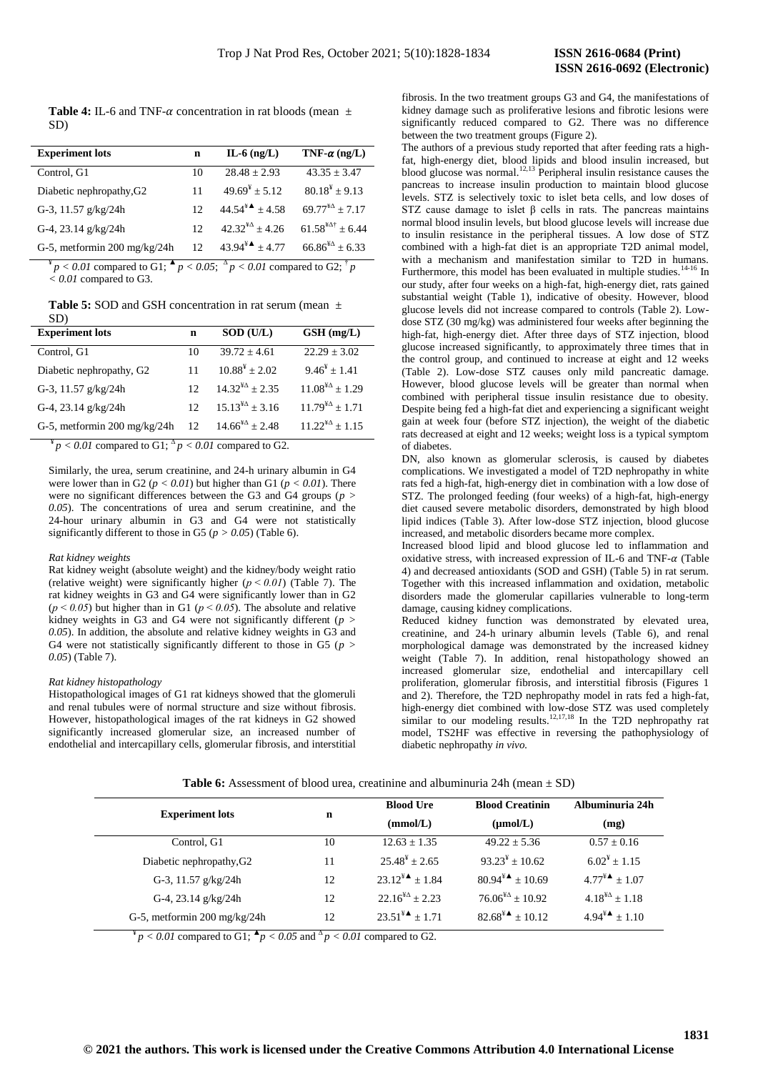**Table 4:** IL-6 and TNF- $\alpha$  concentration in rat bloods (mean  $\pm$ SD)

| <b>Experiment lots</b>               | n               | $IL-6$ (ng/L)                | TNF- $\alpha$ (ng/L)              |
|--------------------------------------|-----------------|------------------------------|-----------------------------------|
| Control, G1                          | 10              | $28.48 \pm 2.93$             | $43.35 + 3.47$                    |
| Diabetic nephropathy, G <sub>2</sub> | 11              | $49.69^{\frac{1}{2}} + 5.12$ | $80.18^{\frac{1}{4}} + 9.13$      |
| G-3, 11.57 g/kg/24h                  | 12 <sup>2</sup> | $44.54^{\frac{1}{4}} + 4.58$ | $69.77^{4\Delta} + 7.17$          |
| G-4, 23.14 g/kg/24h                  | 12 <sup>2</sup> | $42.32^{4\Delta} \pm 4.26$   | $61.58^{4\text{A}\dagger} + 6.44$ |
| G-5, metformin 200 mg/kg/24h         | 12 <sup>2</sup> | $43.94^*$ ± 4.77             | $66.86^{4\Delta} \pm 6.33$        |

 $\mathbb{P}^* p < 0.01$  compared to G1;  $\mathbb{P} p < 0.05$ ;  $\mathbb{P} p < 0.01$  compared to G2;  $\mathbb{P} p$ *< 0.01* compared to G3.

**Table 5:** SOD and GSH concentration in rat serum (mean ±

| SD)                          |                 |                              |                             |
|------------------------------|-----------------|------------------------------|-----------------------------|
| <b>Experiment lots</b>       | n               | $SOD$ (U/L)                  | $GSH$ (mg/L)                |
| Control, G1                  | 10              | $39.72 + 4.61$               | $22.29 + 3.02$              |
| Diabetic nephropathy, G2     | 11              | $10.88^{\frac{1}{4}} + 2.02$ | $9.46^{\frac{1}{2}} + 1.41$ |
| G-3, 11.57 $g/kg/24h$        | 12              | $14.32^{\frac{1}{2}} + 2.35$ | $11.08^{4\Delta} + 1.29$    |
| G-4, 23.14 g/kg/24h          | 12 <sup>2</sup> | $15.13^{\frac{1}{2}} + 3.16$ | $11.79^{4\Delta} + 1.71$    |
| G-5, metformin 200 mg/kg/24h | 12              | $14.66^{4\Delta} + 2.48$     | $11.22^{4\Delta} + 1.15$    |

 $\frac{4}{3}p < 0.01$  compared to G1;  $\frac{\Delta p}{\Delta l} < 0.01$  compared to G2.

Similarly, the urea, serum creatinine, and 24-h urinary albumin in G4 were lower than in G2 ( $p < 0.01$ ) but higher than G1 ( $p < 0.01$ ). There were no significant differences between the G3 and G4 groups (*p > 0.05*). The concentrations of urea and serum creatinine, and the 24-hour urinary albumin in G3 and G4 were not statistically significantly different to those in G5 ( $p > 0.05$ ) (Table 6).

#### *Rat kidney weights*

Rat kidney weight (absolute weight) and the kidney/body weight ratio (relative weight) were significantly higher  $(p < 0.01)$  (Table 7). The rat kidney weights in G3 and G4 were significantly lower than in G2  $(p < 0.05)$  but higher than in G1 ( $p < 0.05$ ). The absolute and relative kidney weights in G3 and G4 were not significantly different (*p > 0.05*). In addition, the absolute and relative kidney weights in G3 and G4 were not statistically significantly different to those in G5 (*p > 0.05*) (Table 7).

#### *Rat kidney histopathology*

Histopathological images of G1 rat kidneys showed that the glomeruli and renal tubules were of normal structure and size without fibrosis. However, histopathological images of the rat kidneys in G2 showed significantly increased glomerular size, an increased number of endothelial and intercapillary cells, glomerular fibrosis, and interstitial fibrosis. In the two treatment groups G3 and G4, the manifestations of kidney damage such as proliferative lesions and fibrotic lesions were significantly reduced compared to G2. There was no difference between the two treatment groups (Figure 2).

The authors of a previous study reported that after feeding rats a highfat, high-energy diet, blood lipids and blood insulin increased, but blood glucose was normal. $12,13$  Peripheral insulin resistance causes the pancreas to increase insulin production to maintain blood glucose levels. STZ is selectively toxic to islet beta cells, and low doses of STZ cause damage to islet  $\beta$  cells in rats. The pancreas maintains normal blood insulin levels, but blood glucose levels will increase due to insulin resistance in the peripheral tissues. A low dose of STZ combined with a high-fat diet is an appropriate T2D animal model, with a mechanism and manifestation similar to T2D in humans. Furthermore, this model has been evaluated in multiple studies.  $14-16$  In our study, after four weeks on a high-fat, high-energy diet, rats gained substantial weight (Table 1), indicative of obesity. However, blood glucose levels did not increase compared to controls (Table 2). Lowdose STZ (30 mg/kg) was administered four weeks after beginning the high-fat, high-energy diet. After three days of STZ injection, blood glucose increased significantly, to approximately three times that in the control group, and continued to increase at eight and 12 weeks (Table 2). Low-dose STZ causes only mild pancreatic damage. However, blood glucose levels will be greater than normal when combined with peripheral tissue insulin resistance due to obesity. Despite being fed a high-fat diet and experiencing a significant weight gain at week four (before STZ injection), the weight of the diabetic rats decreased at eight and 12 weeks; weight loss is a typical symptom of diabetes.

DN, also known as glomerular sclerosis, is caused by diabetes complications. We investigated a model of T2D nephropathy in white rats fed a high-fat, high-energy diet in combination with a low dose of STZ. The prolonged feeding (four weeks) of a high-fat, high-energy diet caused severe metabolic disorders, demonstrated by high blood lipid indices (Table 3). After low-dose STZ injection, blood glucose increased, and metabolic disorders became more complex.

Increased blood lipid and blood glucose led to inflammation and oxidative stress, with increased expression of IL-6 and TNF- $\alpha$  (Table 4) and decreased antioxidants (SOD and GSH) (Table 5) in rat serum. Together with this increased inflammation and oxidation, metabolic disorders made the glomerular capillaries vulnerable to long-term damage, causing kidney complications.

Reduced kidney function was demonstrated by elevated urea, creatinine, and 24-h urinary albumin levels (Table 6), and renal morphological damage was demonstrated by the increased kidney weight (Table 7). In addition, renal histopathology showed an increased glomerular size, endothelial and intercapillary cell proliferation, glomerular fibrosis, and interstitial fibrosis (Figures 1 and 2). Therefore, the T2D nephropathy model in rats fed a high-fat, high-energy diet combined with low-dose STZ was used completely similar to our modeling results.<sup>12,17,18</sup> In the T2D nephropathy rat model, TS2HF was effective in reversing the pathophysiology of diabetic nephropathy *in vivo.*

**Experiment lots n Blood Ure (mmol/L) Blood Creatinin (µmol/L) Albuminuria 24h (mg)** Control, G1 10  $12.63 \pm 1.35$   $49.22 \pm 5.36$   $0.57 \pm 0.16$ Diabetic nephropathy, G<sub>2</sub> 11  $25.48^{\frac{V}{2}} \pm 2.65$  $93.23^* \pm 10.62$  $6.02^{\frac{v}{2}} \pm 1.15$ G-3, 11.57 g/kg/24h  $12$   $23.12^{44} \pm 1.84$   $80.94^{44} \pm 10.69$   $4.77^{4} \pm 1.07$ G-4, 23.14 g/kg/24h  $12$   $22.16^{4\Delta} \pm 2.23$   $76.06^{4\Delta} \pm 10.92$   $4.18^{4\Delta} \pm 1.18$ G-5, metformin 200 mg/kg/24h  $12$   $23.51^{44} \pm 1.71$   $82.68^{44} \pm 10.12$   $4.94^{44} \pm 1.10$ 

**Table 6:** Assessment of blood urea, creatinine and albuminuria 24h (mean  $\pm$  SD)

 $\frac{4}{p}$   $> 0.01$  compared to G1;  $\frac{4}{p}$   $< 0.05$  and  $\frac{4}{p}$   $< 0.01$  compared to G2.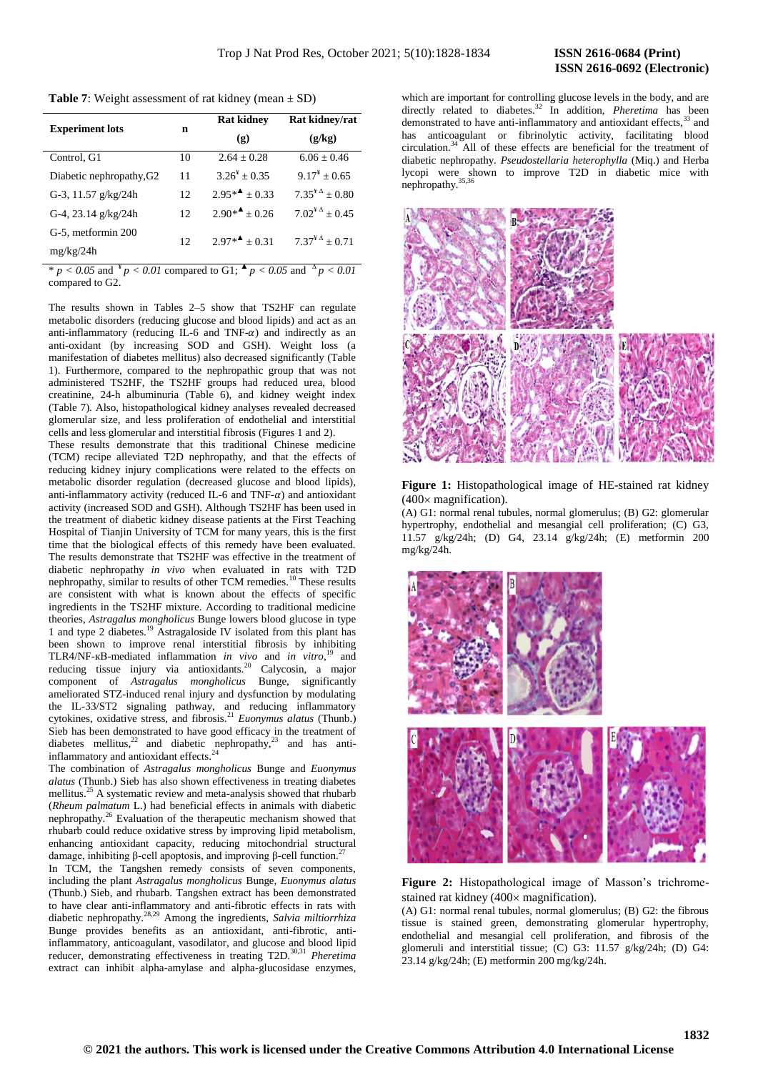**Table 7:** Weight assessment of rat kidney (mean  $\pm$  SD)

| <b>Experiment lots</b>               | n               | <b>Rat kidney</b><br>$\left( \mathbf{g} \right)$ | Rat kidney/rat<br>(g/kg)           |
|--------------------------------------|-----------------|--------------------------------------------------|------------------------------------|
| Control, G1                          | 10              | $2.64 + 0.28$                                    | $6.06 \pm 0.46$                    |
| Diabetic nephropathy, G <sub>2</sub> | 11              | $3.26^{\frac{1}{2}} + 0.35$                      | $9.17^{\frac{1}{2}} + 0.65$        |
| G-3, 11.57 $g/kg/24h$                | 12              | $2.95**$ + 0.33                                  | $7.35^{\frac{1}{4} \Delta} + 0.80$ |
| G-4, 23.14 $g/kg/24h$                | 12              | $2.90*4 \pm 0.26$                                | $7.02^{4 \Delta} \pm 0.45$         |
| G-5, metformin 200                   | 12 <sup>2</sup> | $2.97*4 + 0.31$                                  | $7.37^{\frac{1}{2} \Delta} + 0.71$ |
| mg/kg/24h                            |                 |                                                  | $\overline{A}$                     |

\*  $p < 0.05$  and  $\binom{4}{p} < 0.01$  compared to G1;  $\binom{4}{p} < 0.05$  and  $\binom{4}{p} < 0.01$ compared to G2.

The results shown in Tables 2–5 show that TS2HF can regulate metabolic disorders (reducing glucose and blood lipids) and act as an anti-inflammatory (reducing IL-6 and TNF- $\alpha$ ) and indirectly as an anti-oxidant (by increasing SOD and GSH). Weight loss (a manifestation of diabetes mellitus) also decreased significantly (Table 1). Furthermore, compared to the nephropathic group that was not administered TS2HF, the TS2HF groups had reduced urea, blood creatinine, 24-h albuminuria (Table 6), and kidney weight index (Table 7). Also, histopathological kidney analyses revealed decreased glomerular size, and less proliferation of endothelial and interstitial cells and less glomerular and interstitial fibrosis (Figures 1 and 2).

These results demonstrate that this traditional Chinese medicine (TCM) recipe alleviated T2D nephropathy, and that the effects of reducing kidney injury complications were related to the effects on metabolic disorder regulation (decreased glucose and blood lipids), anti-inflammatory activity (reduced IL-6 and TNF- $\alpha$ ) and antioxidant activity (increased SOD and GSH). Although TS2HF has been used in the treatment of diabetic kidney disease patients at the First Teaching Hospital of Tianjin University of TCM for many years, this is the first time that the biological effects of this remedy have been evaluated. The results demonstrate that TS2HF was effective in the treatment of diabetic nephropathy *in vivo* when evaluated in rats with T2D nephropathy, similar to results of other TCM remedies.<sup>10</sup> These results are consistent with what is known about the effects of specific ingredients in the TS2HF mixture. According to traditional medicine theories, *Astragalus mongholicus* Bunge lowers blood glucose in type 1 and type 2 diabetes.<sup>19</sup> Astragaloside IV isolated from this plant has been shown to improve renal interstitial fibrosis by inhibiting TLR4/NF-кB-mediated inflammation *in vivo* and *in vitro*, <sup>19</sup> and reducing tissue injury via antioxidants.<sup>20</sup> Calycosin, a major component of *Astragalus mongholicus* Bunge, significantly ameliorated STZ-induced renal injury and dysfunction by modulating the IL-33/ST2 signaling pathway, and reducing inflammatory cytokines, oxidative stress, and fibrosis.<sup>21</sup> *Euonymus alatus* (Thunb.) Sieb has been demonstrated to have good efficacy in the treatment of diabetes mellitus,<sup>22</sup> and diabetic nephropathy,<sup>23</sup> and has antiinflammatory and antioxidant effects.<sup>24</sup>

The combination of *Astragalus mongholicus* Bunge and *Euonymus alatus* (Thunb.) Sieb has also shown effectiveness in treating diabetes mellitus.<sup>25</sup> A systematic review and meta-analysis showed that rhubarb (*Rheum palmatum* L.) had beneficial effects in animals with diabetic nephropathy.<sup>26</sup> Evaluation of the therapeutic mechanism showed that rhubarb could reduce oxidative stress by improving lipid metabolism, enhancing antioxidant capacity, reducing mitochondrial structural damage, inhibiting β-cell apoptosis, and improving β-cell function.<sup>27</sup>

In TCM, the Tangshen remedy consists of seven components, including the plant *Astragalus mongholicus* Bunge, *Euonymus alatus*  (Thunb.) Sieb, and rhubarb. Tangshen extract has been demonstrated to have clear anti-inflammatory and anti-fibrotic effects in rats with diabetic nephropathy.28,29 Among the ingredients, *Salvia miltiorrhiza* Bunge provides benefits as an antioxidant, anti-fibrotic, antiinflammatory, anticoagulant, vasodilator, and glucose and blood lipid reducer, demonstrating effectiveness in treating T2D.30,31 *Pheretima* extract can inhibit alpha-amylase and alpha-glucosidase enzymes,

which are important for controlling glucose levels in the body, and are directly related to diabetes.<sup>32</sup> In addition, *Pheretima* has been demonstrated to have anti-inflammatory and antioxidant effects,<sup>33</sup> and has anticoagulant or fibrinolytic activity, facilitating blood circulation.<sup>34</sup> All of these effects are beneficial for the treatment of diabetic nephropathy. *Pseudostellaria heterophylla* (Miq.) and Herba lycopi were shown to improve T2D in diabetic mice with nephropathy.



**Figure 1:** Histopathological image of HE-stained rat kidney  $(400 \times$  magnification).

(A) G1: normal renal tubules, normal glomerulus; (B) G2: glomerular hypertrophy, endothelial and mesangial cell proliferation; (C) G3, 11.57 g/kg/24h; (D) G4, 23.14 g/kg/24h; (E) metformin 200 mg/kg/24h.



**Figure 2:** Histopathological image of Masson's trichromestained rat kidney  $(400 \times$  magnification).

(A) G1: normal renal tubules, normal glomerulus; (B) G2: the fibrous tissue is stained green, demonstrating glomerular hypertrophy, endothelial and mesangial cell proliferation, and fibrosis of the glomeruli and interstitial tissue; (C) G3: 11.57 g/kg/24h; (D) G4: 23.14 g/kg/24h; (E) metformin 200 mg/kg/24h.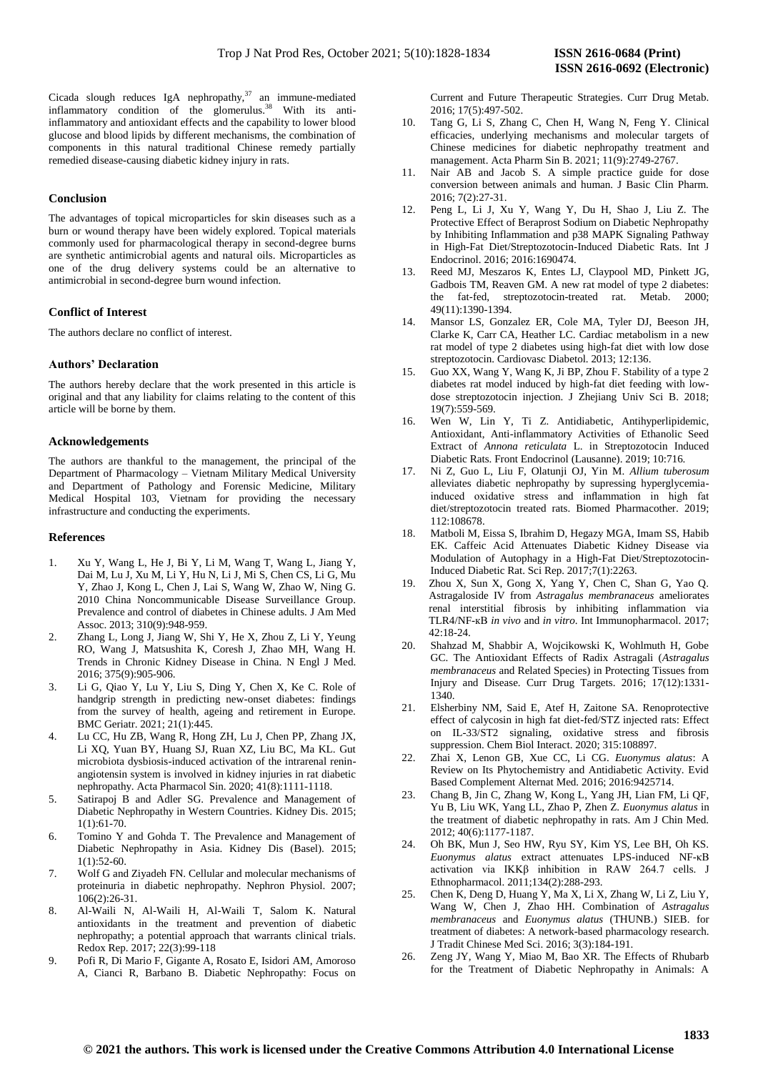Cicada slough reduces IgA nephropathy, $37$  an immune-mediated inflammatory condition of the glomerulus.<sup>38</sup> With its antiinflammatory and antioxidant effects and the capability to lower blood glucose and blood lipids by different mechanisms, the combination of components in this natural traditional Chinese remedy partially remedied disease-causing diabetic kidney injury in rats.

## **Conclusion**

The advantages of topical microparticles for skin diseases such as a burn or wound therapy have been widely explored. Topical materials commonly used for pharmacological therapy in second-degree burns are synthetic antimicrobial agents and natural oils. Microparticles as one of the drug delivery systems could be an alternative to antimicrobial in second-degree burn wound infection.

## **Conflict of Interest**

The authors declare no conflict of interest.

#### **Authors' Declaration**

The authors hereby declare that the work presented in this article is original and that any liability for claims relating to the content of this article will be borne by them.

## **Acknowledgements**

The authors are thankful to the management, the principal of the Department of Pharmacology – Vietnam Military Medical University and Department of Pathology and Forensic Medicine, Military Medical Hospital 103, Vietnam for providing the necessary infrastructure and conducting the experiments.

#### **References**

- 1. Xu Y, Wang L, He J, Bi Y, Li M, Wang T, Wang L, Jiang Y, Dai M, Lu J, Xu M, Li Y, Hu N, Li J, Mi S, Chen CS, Li G, Mu Y, Zhao J, Kong L, Chen J, Lai S, Wang W, Zhao W, Ning G. 2010 China Noncommunicable Disease Surveillance Group. Prevalence and control of diabetes in Chinese adults. J Am Med Assoc. 2013; 310(9):948-959.
- 2. Zhang L, Long J, Jiang W, Shi Y, He X, Zhou Z, Li Y, Yeung RO, Wang J, Matsushita K, Coresh J, Zhao MH, Wang H. Trends in Chronic Kidney Disease in China. N Engl J Med. 2016; 375(9):905-906.
- 3. Li G, Qiao Y, Lu Y, Liu S, Ding Y, Chen X, Ke C. Role of handgrip strength in predicting new-onset diabetes: findings from the survey of health, ageing and retirement in Europe. BMC Geriatr. 2021; 21(1):445.
- 4. Lu CC, Hu ZB, Wang R, Hong ZH, Lu J, Chen PP, Zhang JX, Li XQ, Yuan BY, Huang SJ, Ruan XZ, Liu BC, Ma KL. Gut microbiota dysbiosis-induced activation of the intrarenal reninangiotensin system is involved in kidney injuries in rat diabetic nephropathy. Acta Pharmacol Sin. 2020; 41(8):1111-1118.
- 5. Satirapoj B and Adler SG. Prevalence and Management of Diabetic Nephropathy in Western Countries. Kidney Dis. 2015; 1(1):61-70.
- 6. Tomino Y and Gohda T. The Prevalence and Management of Diabetic Nephropathy in Asia. Kidney Dis (Basel). 2015;  $1(1):52-60.$
- 7. Wolf G and Ziyadeh FN. Cellular and molecular mechanisms of proteinuria in diabetic nephropathy. Nephron Physiol. 2007; 106(2):26-31.
- 8. Al-Waili N, Al-Waili H, Al-Waili T, Salom K. Natural antioxidants in the treatment and prevention of diabetic nephropathy; a potential approach that warrants clinical trials. Redox Rep. 2017; 22(3):99-118
- 9. Pofi R, Di Mario F, Gigante A, Rosato E, Isidori AM, Amoroso A, Cianci R, Barbano B. Diabetic Nephropathy: Focus on

Current and Future Therapeutic Strategies. Curr Drug Metab. 2016; 17(5):497-502.

- 10. Tang G, Li S, Zhang C, Chen H, Wang N, Feng Y. Clinical efficacies, underlying mechanisms and molecular targets of Chinese medicines for diabetic nephropathy treatment and management. Acta Pharm Sin B. 2021; 11(9):2749-2767.
- 11. Nair AB and Jacob S. A simple practice guide for dose conversion between animals and human. J Basic Clin Pharm. 2016; 7(2):27-31.
- 12. Peng L, Li J, Xu Y, Wang Y, Du H, Shao J, Liu Z. The Protective Effect of Beraprost Sodium on Diabetic Nephropathy by Inhibiting Inflammation and p38 MAPK Signaling Pathway in High-Fat Diet/Streptozotocin-Induced Diabetic Rats. Int J Endocrinol. 2016; 2016:1690474.
- 13. Reed MJ, Meszaros K, Entes LJ, Claypool MD, Pinkett JG, Gadbois TM, Reaven GM. A new rat model of type 2 diabetes: the fat-fed, streptozotocin-treated rat. Metab. 2000; 49(11):1390-1394.
- 14. Mansor LS, Gonzalez ER, Cole MA, Tyler DJ, Beeson JH, Clarke K, Carr CA, Heather LC. Cardiac metabolism in a new rat model of type 2 diabetes using high-fat diet with low dose streptozotocin. Cardiovasc Diabetol. 2013; 12:136.
- 15. Guo XX, Wang Y, Wang K, Ji BP, Zhou F. Stability of a type 2 diabetes rat model induced by high-fat diet feeding with lowdose streptozotocin injection. J Zhejiang Univ Sci B. 2018; 19(7):559-569.
- 16. Wen W, Lin Y, Ti Z. Antidiabetic, Antihyperlipidemic, Antioxidant, Anti-inflammatory Activities of Ethanolic Seed Extract of *Annona reticulata* L. in Streptozotocin Induced Diabetic Rats. Front Endocrinol (Lausanne). 2019; 10:716.
- 17. Ni Z, Guo L, Liu F, Olatunji OJ, Yin M. *Allium tuberosum* alleviates diabetic nephropathy by supressing hyperglycemiainduced oxidative stress and inflammation in high fat diet/streptozotocin treated rats. Biomed Pharmacother. 2019; 112:108678.
- 18. Matboli M, Eissa S, Ibrahim D, Hegazy MGA, Imam SS, Habib EK. Caffeic Acid Attenuates Diabetic Kidney Disease via Modulation of Autophagy in a High-Fat Diet/Streptozotocin-Induced Diabetic Rat. Sci Rep. 2017;7(1):2263.
- 19. Zhou X, Sun X, Gong X, Yang Y, Chen C, Shan G, Yao Q. Astragaloside IV from *Astragalus membranaceus* ameliorates renal interstitial fibrosis by inhibiting inflammation via TLR4/NF-кB *in vivo* and *in vitro*. Int Immunopharmacol. 2017; 42:18-24.
- 20. Shahzad M, Shabbir A, Wojcikowski K, Wohlmuth H, Gobe GC. The Antioxidant Effects of Radix Astragali (*Astragalus membranaceus* and Related Species) in Protecting Tissues from Injury and Disease. Curr Drug Targets. 2016; 17(12):1331- 1340.
- 21. Elsherbiny NM, Said E, Atef H, Zaitone SA. Renoprotective effect of calycosin in high fat diet-fed/STZ injected rats: Effect on IL-33/ST2 signaling, oxidative stress and fibrosis suppression. Chem Biol Interact. 2020; 315:108897.
- 22. Zhai X, Lenon GB, Xue CC, Li CG. *Euonymus alatus*: A Review on Its Phytochemistry and Antidiabetic Activity. Evid Based Complement Alternat Med. 2016; 2016:9425714.
- 23. Chang B, Jin C, Zhang W, Kong L, Yang JH, Lian FM, Li QF, Yu B, Liu WK, Yang LL, Zhao P, Zhen Z. *Euonymus alatus* in the treatment of diabetic nephropathy in rats. Am J Chin Med. 2012; 40(6):1177-1187.
- 24. Oh BK, Mun J, Seo HW, Ryu SY, Kim YS, Lee BH, Oh KS. *Euonymus alatus* extract attenuates LPS-induced NF-κB activation via IKKβ inhibition in RAW 264.7 cells. J Ethnopharmacol. 2011;134(2):288-293.
- 25. Chen K, Deng D, Huang Y, Ma X, Li X, Zhang W, Li Z, Liu Y, Wang W, Chen J, Zhao HH. Combination of *Astragalus membranaceus* and *Euonymus alatus* (THUNB.) SIEB. for treatment of diabetes: A network-based pharmacology research. J Tradit Chinese Med Sci. 2016; 3(3):184-191.
- 26. Zeng JY, Wang Y, Miao M, Bao XR. The Effects of Rhubarb for the Treatment of Diabetic Nephropathy in Animals: A